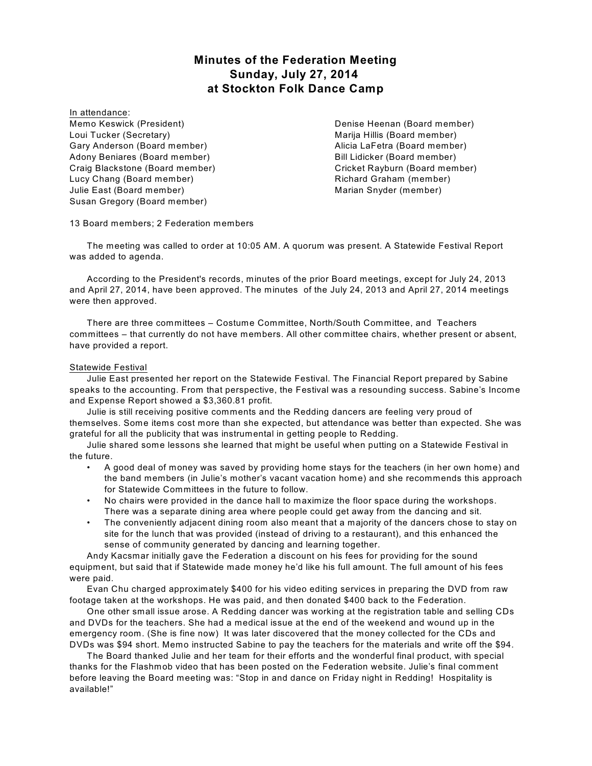# **Minutes of the Federation Meeting Sunday, July 27, 2014 at Stockton Folk Dance Camp**

In attendance: Memo Keswick (President) Loui Tucker (Secretary) Gary Anderson (Board member) Adony Beniares (Board member) Craig Blackstone (Board member) Lucy Chang (Board member) Julie East (Board member) Susan Gregory (Board member)

Denise Heenan (Board member) Marija Hillis (Board member) Alicia LaFetra (Board member) Bill Lidicker (Board member) Cricket Rayburn (Board member) Richard Graham (member) Marian Snyder (member)

13 Board members; 2 Federation members

The meeting was called to order at 10:05 AM. A quorum was present. A Statewide Festival Report was added to agenda.

According to the President's records, minutes of the prior Board meetings, except for July 24, 2013 and April 27, 2014, have been approved. The minutes of the July 24, 2013 and April 27, 2014 meetings were then approved.

There are three committees – Costume Committee, North/South Committee, and Teachers committees – that currently do not have members. All other committee chairs, whether present or absent, have provided a report.

# Statewide Festival

Julie East presented her report on the Statewide Festival. The Financial Report prepared by Sabine speaks to the accounting. From that perspective, the Festival was a resounding success. Sabine's Income and Expense Report showed a \$3,360.81 profit.

Julie is still receiving positive comments and the Redding dancers are feeling very proud of themselves. Some items cost more than she expected, but attendance was better than expected. She was grateful for all the publicity that was instrumental in getting people to Redding.

Julie shared some lessons she learned that might be useful when putting on a Statewide Festival in the future.

- A good deal of money was saved by providing home stays for the teachers (in her own home) and the band members (in Julie's mother's vacant vacation home) and she recommends this approach for Statewide Committees in the future to follow.
- No chairs were provided in the dance hall to maximize the floor space during the workshops. There was a separate dining area where people could get away from the dancing and sit.
- The conveniently adjacent dining room also meant that a majority of the dancers chose to stay on site for the lunch that was provided (instead of driving to a restaurant), and this enhanced the sense of community generated by dancing and learning together.

Andy Kacsmar initially gave the Federation a discount on his fees for providing for the sound equipment, but said that if Statewide made money he'd like his full amount. The full amount of his fees were paid.

Evan Chu charged approximately \$400 for his video editing services in preparing the DVD from raw footage taken at the workshops. He was paid, and then donated \$400 back to the Federation.

One other small issue arose. A Redding dancer was working at the registration table and selling CDs and DVDs for the teachers. She had a medical issue at the end of the weekend and wound up in the emergency room. (She is fine now) It was later discovered that the money collected for the CDs and DVDs was \$94 short. Memo instructed Sabine to pay the teachers for the materials and write off the \$94.

The Board thanked Julie and her team for their efforts and the wonderful final product, with special thanks for the Flashmob video that has been posted on the Federation website. Julie's final comment before leaving the Board meeting was: "Stop in and dance on Friday night in Redding! Hospitality is available!"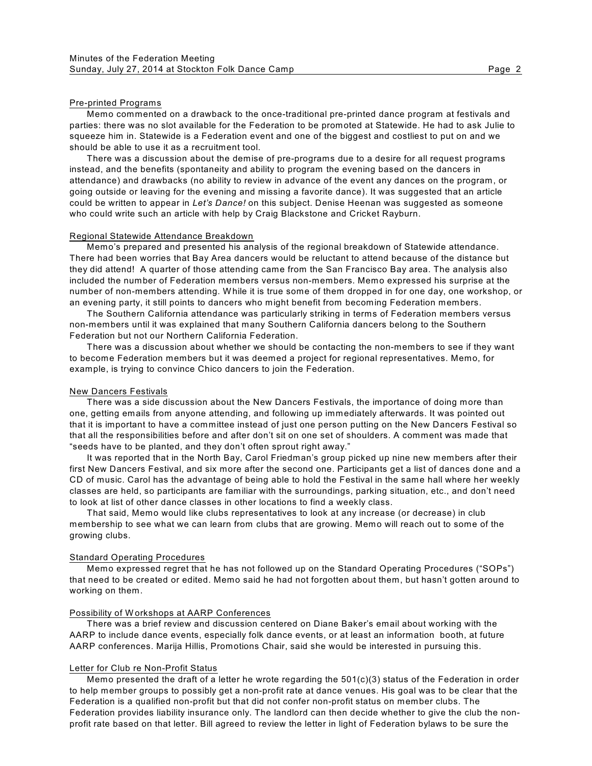## Pre-printed Programs

Memo commented on a drawback to the once-traditional pre-printed dance program at festivals and parties: there was no slot available for the Federation to be promoted at Statewide. He had to ask Julie to squeeze him in. Statewide is a Federation event and one of the biggest and costliest to put on and we should be able to use it as a recruitment tool.

There was a discussion about the demise of pre-programs due to a desire for all request programs instead, and the benefits (spontaneity and ability to program the evening based on the dancers in attendance) and drawbacks (no ability to review in advance of the event any dances on the program, or going outside or leaving for the evening and missing a favorite dance). It was suggested that an article could be written to appear in *Let's Dance!* on this subject. Denise Heenan was suggested as someone who could write such an article with help by Craig Blackstone and Cricket Rayburn.

## Regional Statewide Attendance Breakdown

Memo's prepared and presented his analysis of the regional breakdown of Statewide attendance. There had been worries that Bay Area dancers would be reluctant to attend because of the distance but they did attend! A quarter of those attending came from the San Francisco Bay area. The analysis also included the number of Federation members versus non-members. Memo expressed his surprise at the number of non-members attending. W hile it is true some of them dropped in for one day, one workshop, or an evening party, it still points to dancers who might benefit from becoming Federation members.

The Southern California attendance was particularly striking in terms of Federation members versus non-members until it was explained that many Southern California dancers belong to the Southern Federation but not our Northern California Federation.

There was a discussion about whether we should be contacting the non-members to see if they want to become Federation members but it was deemed a project for regional representatives. Memo, for example, is trying to convince Chico dancers to join the Federation.

## New Dancers Festivals

There was a side discussion about the New Dancers Festivals, the importance of doing more than one, getting emails from anyone attending, and following up immediately afterwards. It was pointed out that it is important to have a committee instead of just one person putting on the New Dancers Festival so that all the responsibilities before and after don't sit on one set of shoulders. A comment was made that "seeds have to be planted, and they don't often sprout right away."

It was reported that in the North Bay, Carol Friedman's group picked up nine new members after their first New Dancers Festival, and six more after the second one. Participants get a list of dances done and a CD of music. Carol has the advantage of being able to hold the Festival in the same hall where her weekly classes are held, so participants are familiar with the surroundings, parking situation, etc., and don't need to look at list of other dance classes in other locations to find a weekly class.

That said, Memo would like clubs representatives to look at any increase (or decrease) in club membership to see what we can learn from clubs that are growing. Memo will reach out to some of the growing clubs.

## Standard Operating Procedures

Memo expressed regret that he has not followed up on the Standard Operating Procedures ("SOPs") that need to be created or edited. Memo said he had not forgotten about them, but hasn't gotten around to working on them.

### Possibility of W orkshops at AARP Conferences

There was a brief review and discussion centered on Diane Baker's email about working with the AARP to include dance events, especially folk dance events, or at least an information booth, at future AARP conferences. Marija Hillis, Promotions Chair, said she would be interested in pursuing this.

## Letter for Club re Non-Profit Status

Memo presented the draft of a letter he wrote regarding the 501(c)(3) status of the Federation in order to help member groups to possibly get a non-profit rate at dance venues. His goal was to be clear that the Federation is a qualified non-profit but that did not confer non-profit status on member clubs. The Federation provides liability insurance only. The landlord can then decide whether to give the club the nonprofit rate based on that letter. Bill agreed to review the letter in light of Federation bylaws to be sure the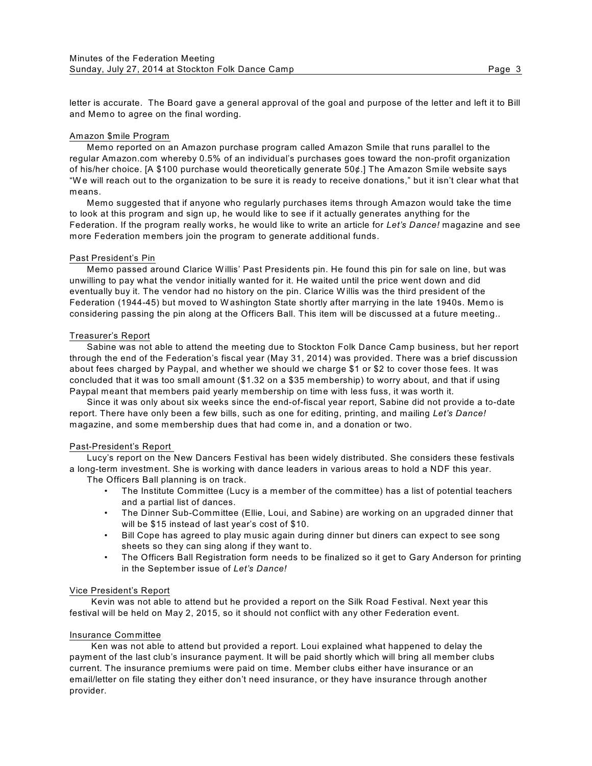letter is accurate. The Board gave a general approval of the goal and purpose of the letter and left it to Bill and Memo to agree on the final wording.

## Amazon \$mile Program

Memo reported on an Amazon purchase program called Amazon Smile that runs parallel to the regular Amazon.com whereby 0.5% of an individual's purchases goes toward the non-profit organization of his/her choice. [A \$100 purchase would theoretically generate 50¢.] The Amazon Smile website says "W e will reach out to the organization to be sure it is ready to receive donations," but it isn't clear what that means.

Memo suggested that if anyone who regularly purchases items through Amazon would take the time to look at this program and sign up, he would like to see if it actually generates anything for the Federation. If the program really works, he would like to write an article for *Let's Dance!* magazine and see more Federation members join the program to generate additional funds.

# Past President's Pin

Memo passed around Clarice W illis' Past Presidents pin. He found this pin for sale on line, but was unwilling to pay what the vendor initially wanted for it. He waited until the price went down and did eventually buy it. The vendor had no history on the pin. Clarice W illis was the third president of the Federation (1944-45) but moved to W ashington State shortly after marrying in the late 1940s. Memo is considering passing the pin along at the Officers Ball. This item will be discussed at a future meeting..

# Treasurer's Report

Sabine was not able to attend the meeting due to Stockton Folk Dance Camp business, but her report through the end of the Federation's fiscal year (May 31, 2014) was provided. There was a brief discussion about fees charged by Paypal, and whether we should we charge \$1 or \$2 to cover those fees. It was concluded that it was too small amount (\$1.32 on a \$35 membership) to worry about, and that if using Paypal meant that members paid yearly membership on time with less fuss, it was worth it.

Since it was only about six weeks since the end-of-fiscal year report, Sabine did not provide a to-date report. There have only been a few bills, such as one for editing, printing, and mailing *Let's Dance!* magazine, and some membership dues that had come in, and a donation or two.

## Past-President's Report

Lucy's report on the New Dancers Festival has been widely distributed. She considers these festivals a long-term investment. She is working with dance leaders in various areas to hold a NDF this year. The Officers Ball planning is on track.

- The Institute Committee (Lucy is a member of the committee) has a list of potential teachers and a partial list of dances.
- The Dinner Sub-Committee (Ellie, Loui, and Sabine) are working on an upgraded dinner that will be \$15 instead of last year's cost of \$10.
- Bill Cope has agreed to play music again during dinner but diners can expect to see song sheets so they can sing along if they want to.
- The Officers Ball Registration form needs to be finalized so it get to Gary Anderson for printing in the September issue of *Let's Dance!*

## Vice President's Report

Kevin was not able to attend but he provided a report on the Silk Road Festival. Next year this festival will be held on May 2, 2015, so it should not conflict with any other Federation event.

## Insurance Committee

Ken was not able to attend but provided a report. Loui explained what happened to delay the payment of the last club's insurance payment. It will be paid shortly which will bring all member clubs current. The insurance premiums were paid on time. Member clubs either have insurance or an email/letter on file stating they either don't need insurance, or they have insurance through another provider.